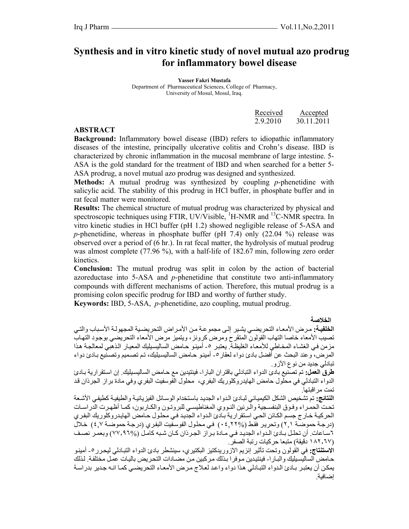# **Synthesis and in vitro kinetic study of novel mutual azo prodrug for inflammatory bowel disease**

**Yasser Fakri Mustafa**  Department of Pharmaceutical Sciences, College of Pharmacy, University of Mosul, Mosul, Iraq.

| Received | Accepted   |
|----------|------------|
| 2.9.2010 | 30.11.2011 |

#### **ABSTRACT**

**Background:** Inflammatory bowel disease (IBD) refers to idiopathic inflammatory diseases of the intestine, principally ulcerative colitis and Crohn's disease. IBD is characterized by chronic inflammation in the mucosal membrane of large intestine. 5- ASA is the gold standard for the treatment of IBD and when searched for a better 5- ASA prodrug, a novel mutual azo prodrug was designed and synthesized.

**Methods:** A mutual prodrug was synthesized by coupling *p*-phenetidine with salicylic acid. The stability of this prodrug in HCl buffer, in phosphate buffer and in rat fecal matter were monitored.

**Results:** The chemical structure of mutual prodrug was characterized by physical and spectroscopic techniques using FTIR, UV/Visible,  ${}^{1}$ H-NMR and  ${}^{13}$ C-NMR spectra. In vitro kinetic studies in HCl buffer (pH 1.2) showed negligible release of 5-ASA and *p*-phenetidine, whereas in phosphate buffer (pH 7.4) only (22.04 %) release was observed over a period of (6 hr.). In rat fecal matter, the hydrolysis of mutual prodrug was almost complete (77.96 %), with a half-life of 182.67 min, following zero order kinetics.

**Conclusion:** The mutual prodrug was split in colon by the action of bacterial azoreductase into 5-ASA and *p*-phenetidine that constitute two anti-inflammatory compounds with different mechanisms of action. Therefore, this mutual prodrug is a promising colon specific prodrug for IBD and worthy of further study.

**Keywords:** IBD, 5-ASA, *p*-phenetidine, azo coupling, mutual prodrug.

**الخلاصة** 

ا**لخلفيـة:** مرض الأمعـاء التحريضـي يشير إلـي مجموعـة من الأمراض التحريضـيـة المجهولـة الأسباب والتـي تصيب الأمعاء خاصا التهاب القولون المتقرح ومرض كرونز، ويتميز مرض الأمعاء التحريضي بوجود التهاب مزمن في الغشاء المخاطي للأمعاء الغليظةّ. يعتبر ٥- أمينو حامض الساليسيليك المعيار الذهبي لمعالجة هذا المرض، وعند البحث عن أفضل بادئ دواء لعقار ٥- أمينو حامض الساليسيليك، تم تصميم وتصنيع بـادئ دواء تبادلي جديد من نوع الآزو.

**طرق العمل:** تم تصنيع بادئ الدواء التبادلي باقتران البارا- فينتيدين مع حѧامض الساليسѧيليك. إن اسѧتقرارية بѧادئ الدواء التبادلي في محلول حامض الهايدروكلوريك البفري، محلول الفوسفيت البفري وفي مادة براز الجرذان قد تمت مراقبتها.

ا**لنتائج:** تم تشخيص الشكل الكيميائي لبـادئ الـدواء الجديد باستخدام الوسـائل الفيز يائيـة و الطيفيـة كطيفي الأشـعة تحت الحمراء وفـوق البنفسـجية والّـرنين النـووي المغناطيسـي للبروتـون والكـاربون، كمـا أظهرت الدراسـات الحركيـة خـارج جسم الكـائن الحـي استقرارية بـادئ الـدواء الجديد فـي محلول حـامض الهايدروكلوريك البفري (درجة حموضة ٢,١) وتحرير فقط (1٢٢%) في محلول الفوسفيت البفري (درجة حموضة ٤,٧) خلال ٦ساعات. أن تحلل بـادئ الـدواء الجديد فـي مـادة بـراز الجـرذان كـان شبه كامـل (%٧٧,٩٦٧) وبعمـر نصـف (١٨٢٫٦٧ دقيقة) متبعا حرآيات رتبة الصفر.

**الاستنتاج: في القولون وتحت تأثير إنزيم الازوريدكتيز البكتيري، سينشطر بادئ الدواء التبادلي ليحرر ٥- أمينو** حامض الساليسيليك والبـارا- فينتيدين موفرا بذلك مركبين من مضـادات التحريض باليـات عمل مختلفة. لذلك يمكن أن يعتبر بـادئ الدواء التبـادلي هذا دواء واعد لعـلاج مرض الأمعـاء التحريضـي كمـا انـه جدير بدراسـة إضافية.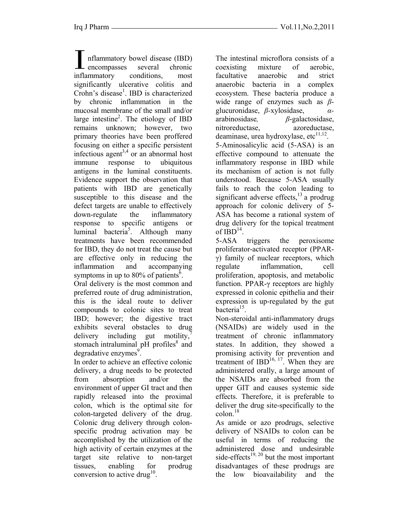nflammatory bowel disease (IBD)<br>encompasses several chronic I nflammatory bowel disease (IBD)<br>
encompasses several chronic<br>
inflammatory conditions most inflammatory conditions, most significantly ulcerative colitis and Crohn's disease<sup>1</sup>. IBD is characterized by chronic inflammation in the mucosal membrane of the small and/or large intestine<sup>2</sup>. The etiology of IBD remains unknown; however, two primary theories have been proffered focusing on either a specific persistent infectious agent<sup>3,4</sup> or an abnormal host immune response to ubiquitous antigens in the luminal constituents. Evidence support the observation that patients with IBD are genetically susceptible to this disease and the defect targets are unable to effectively down-regulate the inflammatory response to specific antigens or luminal bacteria<sup>5</sup>. Although many treatments have been recommended for IBD, they do not treat the cause but are effective only in reducing the inflammation and accompanying symptoms in up to 80% of patients<sup> $\delta$ </sup>.

Oral delivery is the most common and preferred route of drug administration, this is the ideal route to deliver compounds to colonic sites to treat IBD; however; the digestive tract exhibits several obstacles to drug delivery including gut motility, $\frac{7}{2}$ stomach intraluminal  $pH$  profiles $8$  and degradative enzymes<sup>9</sup>.

In order to achieve an effective colonic delivery, a drug needs to be protected from absorption and/or the environment of upper GI tract and then rapidly released into the proximal colon, which is the optimal site for colon-targeted delivery of the drug. Colonic drug delivery through colonspecific prodrug activation may be accomplished by the utilization of the high activity of certain enzymes at the target site relative to non-target tissues, enabling for prodrug conversion to active drug<sup>10</sup>.

The intestinal microflora consists of a coexisting mixture of aerobic, facultative anaerobic and strict anaerobic bacteria in a complex ecosystem. These bacteria produce a wide range of enzymes such as *β*glucuronidase, *β-*xylosidase, *α*arabinosidase*, β*-galactosidase, nitroreductase, azoreductase, deaminase, urea hydroxylase, etc $^{11,12}$ . 5-Aminosalicylic acid (5-ASA) is an effective compound to attenuate the inflammatory response in IBD while its mechanism of action is not fully understood. Because 5-ASA usually fails to reach the colon leading to significant adverse effects, $13$  a prodrug approach for colonic delivery of 5- ASA has become a rational system of drug delivery for the topical treatment of  $IBD^{14}$ .

5-ASA triggers the peroxisome proliferator-activated receptor (PPARγ) family of nuclear receptors, which regulate inflammation, cell proliferation, apoptosis, and metabolic function. PPAR-γ receptors are highly expressed in colonic epithelia and their expression is up-regulated by the gut bacteria $^{15}$ .

Non-steroidal anti-inflammatory drugs (NSAIDs) are widely used in the treatment of chronic inflammatory states. In addition, they showed a promising activity for prevention and treatment of  $IBD<sup>16, 17</sup>$ . When they are administered orally, a large amount of the NSAIDs are absorbed from the upper GIT and causes systemic side effects. Therefore, it is preferable to deliver the drug site-specifically to the colon.18

As amide or azo prodrugs, selective delivery of NSAIDs to colon can be useful in terms of reducing the administered dose and undesirable side-effects<sup>19, 20</sup> but the most important disadvantages of these prodrugs are the low bioavailability and the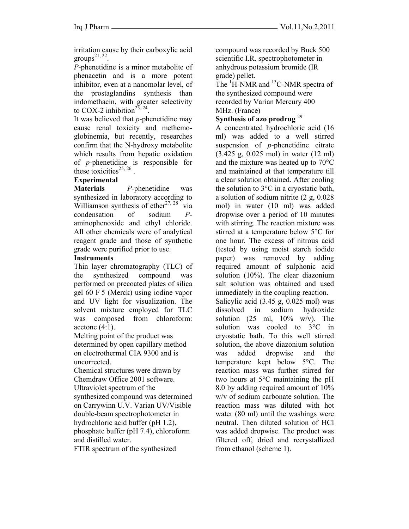irritation cause by their carboxylic acid groups $^{21, 22}$ .

*P*-phenetidine is a minor metabolite of phenacetin and is a more potent inhibitor, even at a nanomolar level, of the prostaglandins synthesis than indomethacin, with greater selectivity to COX-2 inhibition<sup>23, 24</sup>.

It was believed that *p*-phenetidine may cause renal toxicity and methemoglobinemia, but recently, researches confirm that the N-hydroxy metabolite which results from hepatic oxidation of *p*-phenetidine is responsible for these toxicities<sup>25, 26</sup>.

# **Experimental**

**Materials** *P*-phenetidine was synthesized in laboratory according to Williamson synthesis of ether<sup>27, 28</sup> via condensation of sodium *P*aminophenoxide and ethyl chloride. All other chemicals were of analytical reagent grade and those of synthetic grade were purified prior to use.

# **Instruments**

Thin layer chromatography (TLC) of the synthesized compound was performed on precoated plates of silica gel 60 F 5 (Merck) using iodine vapor and UV light for visualization. The solvent mixture employed for TLC was composed from chloroform: acetone  $(4:1)$ .

Melting point of the product was determined by open capillary method on electrothermal CIA 9300 and is uncorrected.

Chemical structures were drawn by Chemdraw Office 2001 software. Ultraviolet spectrum of the synthesized compound was determined on Carrywinn U.V. Varian UV/Visible double-beam spectrophotometer in hydrochloric acid buffer (pH 1.2), phosphate buffer (pH 7.4), chloroform and distilled water.

FTIR spectrum of the synthesized

compound was recorded by Buck 500 scientific I.R. spectrophotometer in anhydrous potassium bromide (IR grade) pellet.

The  ${}^{1}$ H-NMR and  ${}^{13}$ C-NMR spectra of the synthesized compound were recorded by Varian Mercury 400 MHz. (France)

#### **Synthesis of azo prodrug** <sup>29</sup>

A concentrated hydrochloric acid (16 ml) was added to a well stirred suspension of *p*-phenetidine citrate (3.425 g, 0.025 mol) in water (12 ml) and the mixture was heated up to 70°C and maintained at that temperature till a clear solution obtained. After cooling the solution to 3°C in a cryostatic bath, a solution of sodium nitrite (2 g, 0.028 mol) in water (10 ml) was added dropwise over a period of 10 minutes with stirring. The reaction mixture was stirred at a temperature below 5°C for one hour. The excess of nitrous acid (tested by using moist starch iodide paper) was removed by adding required amount of sulphonic acid solution (10%). The clear diazonium salt solution was obtained and used immediately in the coupling reaction.

Salicylic acid (3.45 g, 0.025 mol) was dissolved in sodium hydroxide solution  $(25 \text{ ml}, 10\% \text{ w/v})$ . The solution was cooled to 3°C in cryostatic bath. To this well stirred solution, the above diazonium solution was added dropwise and the temperature kept below 5°C. The reaction mass was further stirred for two hours at 5°C maintaining the pH 8.0 by adding required amount of 10% w/v of sodium carbonate solution. The reaction mass was diluted with hot water (80 ml) until the washings were neutral. Then diluted solution of HCl was added dropwise. The product was filtered off, dried and recrystallized from ethanol (scheme 1).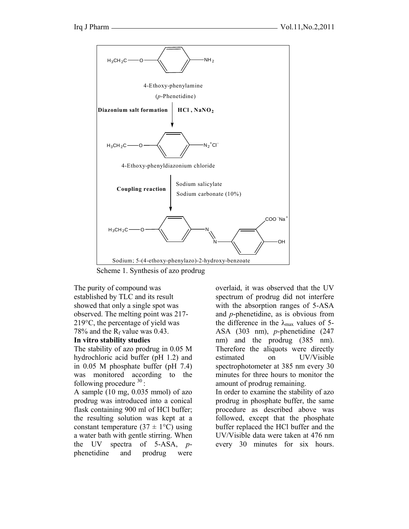

Scheme 1. Synthesis of azo prodrug

The purity of compound was established by TLC and its result showed that only a single spot was observed. The melting point was 217- 219°C, the percentage of yield was 78% and the  $R_f$  value was 0.43.

#### **In vitro stability studies**

The stability of azo prodrug in 0.05 M hydrochloric acid buffer (pH 1.2) and in 0.05 M phosphate buffer (pH 7.4) was monitored according to the following procedure  $30$ :

A sample (10 mg, 0.035 mmol) of azo prodrug was introduced into a conical flask containing 900 ml of HCl buffer; the resulting solution was kept at a constant temperature  $(37 \pm 1^{\circ}C)$  using a water bath with gentle stirring. When the UV spectra of 5-ASA, *p*phenetidine and prodrug were overlaid, it was observed that the UV spectrum of prodrug did not interfere with the absorption ranges of 5-ASA and *p*-phenetidine, as is obvious from the difference in the  $\lambda_{\text{max}}$  values of 5-ASA (303 nm), *p*-phenetidine (247 nm) and the prodrug (385 nm). Therefore the aliquots were directly estimated on UV/Visible spectrophotometer at 385 nm every 30 minutes for three hours to monitor the amount of prodrug remaining.

In order to examine the stability of azo prodrug in phosphate buffer, the same procedure as described above was followed, except that the phosphate buffer replaced the HCl buffer and the UV/Visible data were taken at 476 nm every 30 minutes for six hours.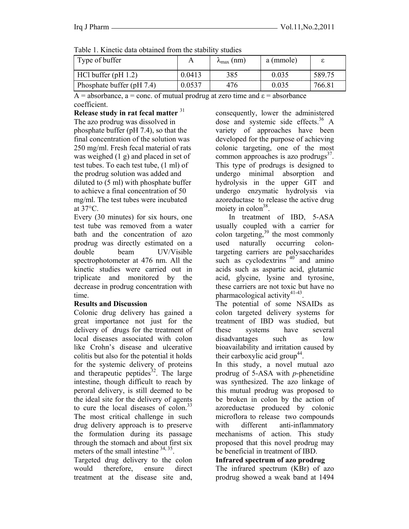| Table 1. Kinetic data obtained from the stability studies |        |                             |           |        |  |  |
|-----------------------------------------------------------|--------|-----------------------------|-----------|--------|--|--|
| Type of buffer                                            |        | $\lambda_{\text{max}}$ (nm) | a (mmole) |        |  |  |
| $HC1$ buffer (pH 1.2)                                     | 0.0413 | 385                         | 0.035     | 589.75 |  |  |
| Phosphate buffer (pH 7.4)                                 | 0.0537 | 476                         | 0.035     | 766.81 |  |  |

Table 1. Kinetic data obtained from the stability studies

 $A =$  absorbance, a = conc. of mutual prodrug at zero time and  $\varepsilon =$  absorbance coefficient.

**Release study in rat fecal matter** <sup>31</sup> The azo prodrug was dissolved in phosphate buffer (pH 7.4), so that the final concentration of the solution was 250 mg/ml. Fresh fecal material of rats was weighed (1 g) and placed in set of test tubes. To each test tube, (1 ml) of the prodrug solution was added and diluted to (5 ml) with phosphate buffer to achieve a final concentration of 50 mg/ml. The test tubes were incubated at 37°C.

Every (30 minutes) for six hours, one test tube was removed from a water bath and the concentration of azo prodrug was directly estimated on a double beam UV/Visible spectrophotometer at 476 nm. All the kinetic studies were carried out in triplicate and monitored by the decrease in prodrug concentration with time.

# **Results and Discussion**

Colonic drug delivery has gained a great importance not just for the delivery of drugs for the treatment of local diseases associated with colon like Crohn's disease and ulcerative colitis but also for the potential it holds for the systemic delivery of proteins and therapeutic peptides $32$ . The large intestine, though difficult to reach by peroral delivery, is still deemed to be the ideal site for the delivery of agents to cure the local diseases of colon. $33$ The most critical challenge in such drug delivery approach is to preserve the formulation during its passage through the stomach and about first six meters of the small intestine <sup>34, 35</sup>.

Targeted drug delivery to the colon would therefore, ensure direct treatment at the disease site and, consequently, lower the administered dose and systemic side effects. $36$  A variety of approaches have been developed for the purpose of achieving colonic targeting, one of the most common approaches is azo prodrugs $3^7$ . This type of prodrugs is designed to undergo minimal absorption and hydrolysis in the upper GIT and undergo enzymatic hydrolysis via azoreductase to release the active drug moiety in  $\text{colon}^{38}$ .

 In treatment of IBD, 5-ASA usually coupled with a carrier for colon targeting, $39$  the most commonly used naturally occurring colontargeting carriers are polysaccharides such as cyclodextrins  $40^{\circ}$  and amino acids such as aspartic acid, glutamic acid, glycine, lysine and tyrosine, these carriers are not toxic but have no pharmacological activity<sup>41-43</sup>.

The potential of some NSAIDs as colon targeted delivery systems for treatment of IBD was studied, but these systems have several disadvantages such as low bioavailability and irritation caused by their carboxylic acid group<sup>44</sup>.

In this study, a novel mutual azo prodrug of 5-ASA with *p*-phenetidine was synthesized. The azo linkage of this mutual prodrug was proposed to be broken in colon by the action of azoreductase produced by colonic microflora to release two compounds with different anti-inflammatory mechanisms of action. This study proposed that this novel prodrug may be beneficial in treatment of IBD.

# **Infrared spectrum of azo prodrug**

The infrared spectrum (KBr) of azo prodrug showed a weak band at 1494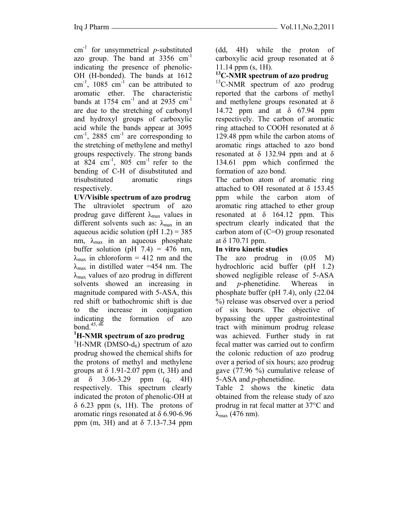$cm<sup>-1</sup>$  for unsymmetrical *p*-substituted azo group. The band at  $3356 \text{ cm}^{-1}$ indicating the presence of phenolic-OH (H-bonded). The bands at 1612 cm<sup>-1</sup>, 1085 cm<sup>-1</sup> can be attributed to aromatic ether. The characteristic bands at  $1754 \text{ cm}^{-1}$  and at  $2935 \text{ cm}^{-1}$ are due to the stretching of carbonyl and hydroxyl groups of carboxylic acid while the bands appear at 3095 cm<sup>-1</sup>, 2885 cm<sup>-1</sup> are corresponding to the stretching of methylene and methyl groups respectively. The strong bands at  $824$  cm<sup>-1</sup>,  $805$  cm<sup>-1</sup> refer to the bending of C-H of disubstituted and trisubstituted aromatic rings respectively.

**UV/Visible spectrum of azo prodrug**  The ultraviolet spectrum of azo prodrug gave different  $\lambda_{\text{max}}$  values in different solvents such as:  $\lambda_{\text{max}}$  in an aqueous acidic solution (pH  $1.2$ ) = 385 nm,  $\lambda_{\text{max}}$  in an aqueous phosphate buffer solution (pH  $7.4$ ) = 476 nm,  $\lambda_{\text{max}}$  in chloroform = 412 nm and the  $\lambda_{\text{max}}$  in distilled water =454 nm. The  $\lambda_{\text{max}}$  values of azo prodrug in different solvents showed an increasing in magnitude compared with 5-ASA, this red shift or bathochromic shift is due to the increase in conjugation indicating the formation of azo bond.45, 46 **<sup>1</sup>**

# **H-NMR spectrum of azo prodrug**

 ${}^{1}$ H-NMR (DMSO-d<sub>6</sub>) spectrum of azo prodrug showed the chemical shifts for the protons of methyl and methylene groups at  $\delta$  1.91-2.07 ppm (t, 3H) and at  $\delta$  3.06-3.29 ppm (q, 4H) respectively. This spectrum clearly indicated the proton of phenolic-OH at  $\delta$  6.23 ppm (s, 1H). The protons of aromatic rings resonated at δ 6.90-6.96 ppm (m, 3H) and at δ 7.13-7.34 ppm

(dd, 4H) while the proton of carboxylic acid group resonated at δ 11.14 ppm (s, 1H).

#### **13C-NMR spectrum of azo prodrug**

 $^{13}$ C-NMR spectrum of azo prodrug reported that the carbons of methyl and methylene groups resonated at δ 14.72 ppm and at δ 67.94 ppm respectively. The carbon of aromatic ring attached to COOH resonated at δ 129.48 ppm while the carbon atoms of aromatic rings attached to azo bond resonated at  $\delta$  132.94 ppm and at  $\delta$ 134.61 ppm which confirmed the formation of azo bond.

The carbon atom of aromatic ring attached to OH resonated at  $\delta$  153.45 ppm while the carbon atom of aromatic ring attached to ether group resonated at  $\delta$  164.12 ppm. This spectrum clearly indicated that the carbon atom of (C=O) group resonated at δ 170.71 ppm.

#### **In vitro kinetic studies**

The azo prodrug in (0.05 M) hydrochloric acid buffer (pH 1.2) showed negligible release of 5-ASA and *p*-phenetidine. Whereas in phosphate buffer (pH 7.4), only (22.04 %) release was observed over a period of six hours. The objective of bypassing the upper gastrointestinal tract with minimum prodrug release was achieved. Further study in rat fecal matter was carried out to confirm the colonic reduction of azo prodrug over a period of six hours; azo prodrug gave (77.96 %) cumulative release of 5-ASA and *p*-phenetidine.

Table 2 shows the kinetic data obtained from the release study of azo prodrug in rat fecal matter at 37°C and  $λ_{max}$  (476 nm).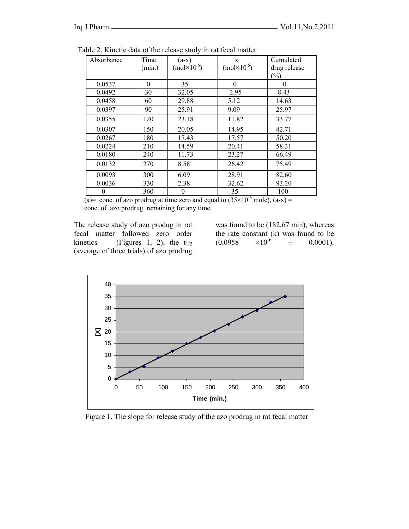| $(a-x)$ | X                   | Cumulated    |
|---------|---------------------|--------------|
|         |                     |              |
|         | $(mol \times 10^6)$ | drug release |
|         |                     | (%)          |
| 35      | $\theta$            | $\theta$     |
| 32.05   | 2.95                | 8.43         |
| 29.88   | 5.12                | 14.63        |
| 25.91   | 9.09                | 25.97        |
| 23.18   | 11.82               | 33.77        |
| 20.05   | 14.95               | 42.71        |
| 17.43   | 17.57               | 50.20        |
| 14.59   | 20.41               | 58.31        |
| 11.73   | 23.27               | 66.49        |
| 8.58    | 26.42               | 75.49        |
| 6.09    | 28.91               | 82.60        |
| 2.38    | 32.62               | 93.20        |
| 0       | 35                  | 100          |
|         | $(mol \times 10^6)$ |              |

Table 2. Kinetic data of the release study in rat fecal matter

 $\overline{(a)}$  conc. of azo prodrug at time zero and equal to  $(35 \times 10^{-6}$  mole),  $(a-x)$  = conc. of azo prodrug remaining for any time.

The release study of azo produg in rat fecal matter followed zero order kinetics (Figures 1, 2), the  $t_{1/2}$ (average of three trials) of azo prodrug

was found to be (182.67 min), whereas the rate constant (k) was found to be  $(0.0958 \times 10^{-6} \pm 0.0001)$ .  $(0.0958 \times 10^{-6} \pm 0.0001).$ 



Figure 1. The slope for release study of the azo prodrug in rat fecal matter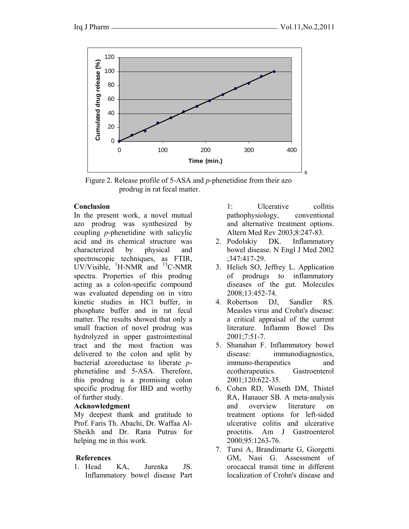

 Figure 2. Release profile of 5-ASA and *p*-phenetidine from their azo prodrug in rat fecal matter.

#### **Conclusion**

In the present work, a novel mutual azo prodrug was synthesized by coupling *p*-phenetidine with salicylic acid and its chemical structure was characterized by physical and spectroscopic techniques, as FTIR,  $UV/Visible,$  <sup>1</sup>H-NMR and <sup>13</sup>C-NMR spectra. Properties of this prodrug acting as a colon-specific compound was evaluated depending on in vitro kinetic studies in HCl buffer, in phosphate buffer and in rat fecal matter. The results showed that only a small fraction of novel prodrug was hydrolyzed in upper gastrointestinal tract and the most fraction was delivered to the colon and split by bacterial azoreductase to liberate *p*phenetidine and 5-ASA. Therefore, this prodrug is a promising colon specific prodrug for IBD and worthy of further study.

# **Acknowledgment**

My deepest thank and gratitude to Prof. Faris Th. Abachi, Dr. Waffaa Al-Sheikh and Dr. Rana Putrus for helping me in this work.

# **References**

1. Head KA, Jurenka JS. Inflammatory bowel disease Part 1: Ulcerative collitis pathophysiology, conventional and alternative treatment options. Altern Med Rev 2003;8:247-83.

- 2. Podolskiy DK. Inflammatory bowel disease. N Engl J Med 2002 ;347:417-29.
- 3. Helieh SO, Jeffrey L. Application of prodrugs to inflammatory diseases of the gut. Molecules 2008;13:452-74.
- 4. Robertson DJ, Sandler RS. Measles virus and Crohn's disease: a critical appraisal of the current literature. Inflamm Bowel Dis 2001;7:51-7.
- 5. Shanahan F. Inflammatory bowel disease: immunodiagnostics, immuno-therapeutics and ecotherapeutics. Gastroenterol 2001;120:622-35.
- 6. Cohen RD, Woseth DM, Thistel RA, Hanauer SB. A meta-analysis and overview literature on treatment options for left-sided ulcerative colitis and ulcerative proctitis. Am J Gastroenterol 2000;95:1263-76.
- 7. Tursi A, Brandimarte G, Giorgetti GM, Nasi G. Assessment of orocaecal transit time in different localization of Crohn's disease and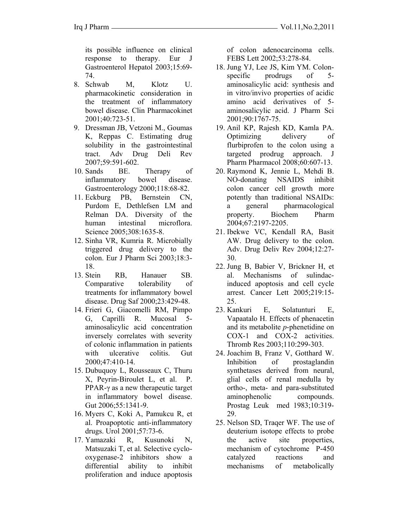its possible influence on clinical response to therapy. Eur J Gastroenterol Hepatol 2003;15:69- 74.

- 8. Schwab M, Klotz U. pharmacokinetic consideration in the treatment of inflammatory bowel disease. Clin Pharmacokinet 2001;40:723-51.
- 9. Dressman JB, Vetzoni M., Goumas K, Reppas C. Estimating drug solubility in the gastrointestinal tract. Adv Drug Deli Rev 2007;59:591-602.
- 10. Sands BE. Therapy of inflammatory bowel disease. Gastroenterology 2000;118:68-82.
- 11. Eckburg PB, Bernstein CN, Purdom E, Dethlefsen LM and Relman DA. Diversity of the human intestinal microflora. Science 2005;308:1635-8.
- 12. Sinha VR, Kumria R. Microbially triggered drug delivery to the colon. Eur J Pharm Sci 2003;18:3- 18.
- 13. Stein RB, Hanauer SB. Comparative tolerability of treatments for inflammatory bowel disease. Drug Saf 2000;23:429-48.
- 14. Frieri G, Giacomelli RM, Pimpo G, Caprilli R. Mucosal 5 aminosalicylic acid concentration inversely correlates with severity of colonic inflammation in patients with ulcerative colitis. Gut 2000;47:410-14.
- 15. Dubuquoy L, Rousseaux C, Thuru X, Peyrin-Biroulet L, et al. P. PPAR-γ as a new therapeutic target in inflammatory bowel disease. Gut 2006;55:1341-9.
- 16. Myers C, Koki A, Pamukcu R, et al. Proapoptotic anti-inflammatory drugs. Urol 2001;57:73-6.
- 17. Yamazaki R, Kusunoki N, Matsuzaki T, et al. Selective cyclooxygenase-2 inhibitors show a differential ability to inhibit proliferation and induce apoptosis

of colon adenocarcinoma cells. FEBS Lett 2002;53:278-84.

- 18. Jung YJ, Lee JS, Kim YM. Colonspecific prodrugs of 5aminosalicylic acid: synthesis and in vitro/invivo properties of acidic amino acid derivatives of 5 aminosalicylic acid. J Pharm Sci 2001;90:1767-75.
- 19. Anil KP, Rajesh KD, Kamla PA. Optimizing delivery of flurbiprofen to the colon using a targeted prodrug approach. J Pharm Pharmacol 2008;60:607-13.
- 20. Raymond K, Jennie L, Mehdi B. NO-donating NSAIDS inhibit colon cancer cell growth more potently than traditional NSAIDs: a general pharmacological property. Biochem Pharm 2004;67:2197-2205.
- 21. Ibekwe VC, Kendall RA, Basit AW. Drug delivery to the colon. Adv. Drug Deliv Rev 2004;12:27- 30.
- 22. Jung B, Babier V, Brickner H, et al. Mechanisms of sulindacinduced apoptosis and cell cycle arrest. Cancer Lett 2005;219:15- 25.
- 23. Kankuri E, Solatunturi E, Vapaatalo H. Effects of phenacetin and its metabolite *p*-phenetidine on COX-1 and COX-2 activities. Thromb Res 2003;110:299-303.
- 24. Joachim B, Franz V, Gotthard W. Inhibition of prostaglandin synthetases derived from neural, glial cells of renal medulla by ortho-, meta- and para-substituted aminophenolic compounds. Prostag Leuk med 1983;10:319- 29.
- 25. Nelson SD, Traqer WF. The use of deuterium isotope effects to probe the active site properties, mechanism of cytochrome P-450 catalyzed reactions and mechanisms of metabolically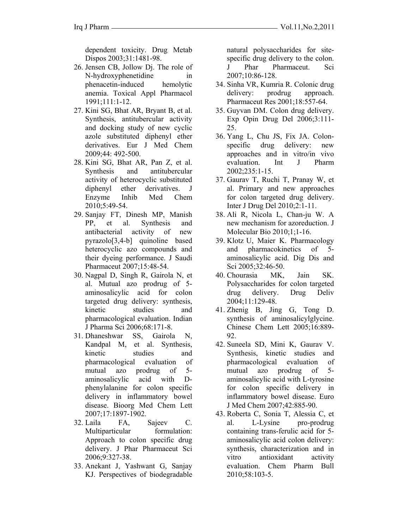dependent toxicity. Drug Metab Dispos 2003;31:1481-98.

- 26. Jensen CB, Jollow Dj. The role of N-hydroxyphenetidine in phenacetin-induced hemolytic anemia. Toxical Appl Pharmacol 1991;111:1-12.
- 27. Kini SG, Bhat AR, Bryant B, et al. Synthesis, antitubercular activity and docking study of new cyclic azole substituted diphenyl ether derivatives. Eur J Med Chem 2009;44: 492-500.
- 28. Kini SG, Bhat AR, Pan Z, et al. Synthesis and antitubercular activity of heterocyclic substituted diphenyl ether derivatives. J Enzyme Inhib Med Chem 2010;5:49-54.
- 29. Sanjay FT, Dinesh MP, Manish PP, et al. Synthesis and antibacterial activity of new pyrazolo[3,4-b] quinoline based heterocyclic azo compounds and their dyeing performance. J Saudi Pharmaceut 2007;15:48-54.
- 30. Nagpal D, Singh R, Gairola N, et al. Mutual azo prodrug of 5 aminosalicylic acid for colon targeted drug delivery: synthesis, kinetic studies and pharmacological evaluation. Indian J Pharma Sci 2006;68:171-8.
- 31. Dhaneshwar SS, Gairola N, Kandpal M, et al. Synthesis, kinetic studies and pharmacological evaluation of mutual azo prodrug of 5 aminosalicylic acid with Dphenylalanine for colon specific delivery in inflammatory bowel disease. Bioorg Med Chem Lett 2007;17:1897-1902.
- 32. Laila FA, Sajeev C. Multiparticular formulation: Approach to colon specific drug delivery. J Phar Pharmaceut Sci 2006;9:327-38.
- 33. Anekant J, Yashwant G, Sanjay KJ. Perspectives of biodegradable

natural polysaccharides for sitespecific drug delivery to the colon. J Phar Pharmaceut. Sci 2007;10:86-128.

- 34. Sinha VR, Kumria R. Colonic drug delivery: prodrug approach. Pharmaceut Res 2001;18:557-64.
- 35. Guyvan DM. Colon drug delivery. Exp Opin Drug Del 2006;3:111- 25.
- 36. Yang L, Chu JS, Fix JA. Colonspecific drug delivery: new approaches and in vitro/in vivo evaluation. Int J Pharm 2002;235:1-15.
- 37. Gaurav T, Ruchi T, Pranay W, et al. Primary and new approaches for colon targeted drug delivery. Inter J Drug Del 2010;2:1-11.
- 38. Ali R, Nicola L, Chan-ju W. A new mechanism for azoreduction. J Molecular Bio 2010;1;1-16.
- 39. Klotz U, Maier K. Pharmacology and pharmacokinetics of 5 aminosalicylic acid. Dig Dis and Sci 2005:32:46-50.
- 40. Chourasia MK, Jain SK. Polysaccharides for colon targeted drug delivery. Drug Deliv 2004;11:129-48.
- 41. Zhenig B, Jing G, Tong D. synthesis of aminosalicylglycine. Chinese Chem Lett 2005;16:889- 92.
- 42. Suneela SD, Mini K, Gaurav V. Synthesis, kinetic studies and pharmacological evaluation of mutual azo prodrug of 5 aminosalicylic acid with L-tyrosine for colon specific delivery in inflammatory bowel disease. Euro J Med Chem 2007;42:885-90.
- 43. Roberta C, Sonia T, Alessia C, et al. L-Lysine pro-prodrug containing trans-ferulic acid for 5 aminosalicylic acid colon delivery: synthesis, characterization and in vitro antioxidant activity evaluation. Chem Pharm Bull 2010;58:103-5.